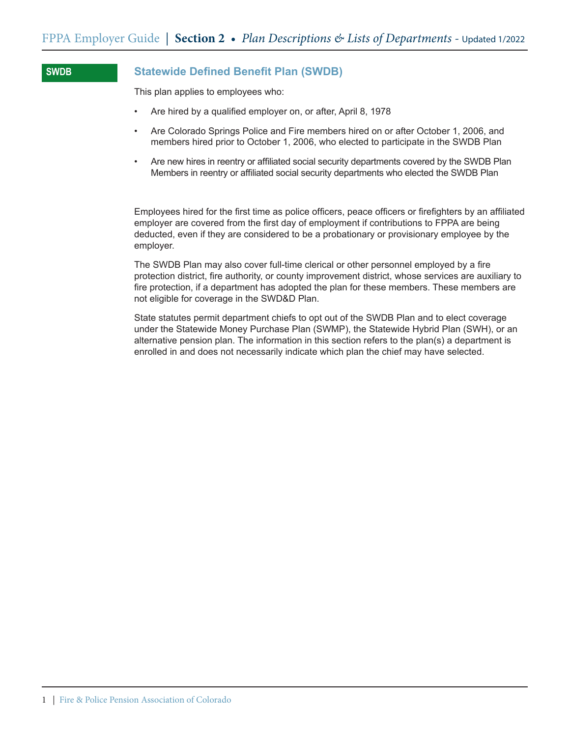## **Statewide Defined Benefit Plan (SWDB)**

This plan applies to employees who:

**SWDB**

- Are hired by a qualified employer on, or after, April 8, 1978
- Are Colorado Springs Police and Fire members hired on or after October 1, 2006, and members hired prior to October 1, 2006, who elected to participate in the SWDB Plan
- Are new hires in reentry or affiliated social security departments covered by the SWDB Plan Members in reentry or affiliated social security departments who elected the SWDB Plan

Employees hired for the first time as police officers, peace officers or firefighters by an affiliated employer are covered from the first day of employment if contributions to FPPA are being deducted, even if they are considered to be a probationary or provisionary employee by the employer.

The SWDB Plan may also cover full-time clerical or other personnel employed by a fire protection district, fire authority, or county improvement district, whose services are auxiliary to fire protection, if a department has adopted the plan for these members. These members are not eligible for coverage in the SWD&D Plan.

State statutes permit department chiefs to opt out of the SWDB Plan and to elect coverage under the Statewide Money Purchase Plan (SWMP), the Statewide Hybrid Plan (SWH), or an alternative pension plan. The information in this section refers to the plan(s) a department is enrolled in and does not necessarily indicate which plan the chief may have selected.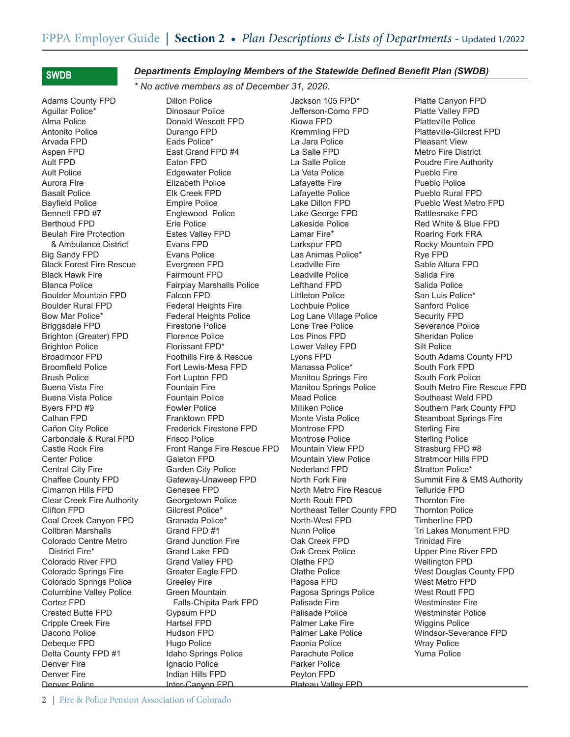## **SWDB**

Adams County FPD Aguilar Police\* Alma Police Antonito Police Arvada FPD Aspen FPD Ault FPD Ault Police Aurora Fire Basalt Police Bayfield Police Bennett FPD #7 Berthoud FPD Beulah Fire Protection & Ambulance District Big Sandy FPD Black Forest Fire Rescue Black Hawk Fire Blanca Police Boulder Mountain FPD Boulder Rural FPD Bow Mar Police\* Briggsdale FPD Brighton (Greater) FPD Brighton Police Broadmoor FPD Broomfield Police Brush Police Buena Vista Fire Buena Vista Police Byers FPD #9 Calhan FPD Cañon City Police Carbondale & Rural FPD Castle Rock Fire Center Police Central City Fire Chaffee County FPD Cimarron Hills FPD Clear Creek Fire Authority Clifton FPD Coal Creek Canyon FPD Collbran Marshalls Colorado Centre Metro District Fire\* Colorado River FPD Colorado Springs Fire Colorado Springs Police Columbine Valley Police Cortez FPD Crested Butte FPD Cripple Creek Fire Dacono Police Debeque FPD Delta County FPD #1 Denver Fire Denver Fire Denver Police

## *Departments Employing Members of the Statewide Defined Benefit Plan (SWDB)*

*\* No active members as of December 31, 2020.*

Dillon Police Dinosaur Police Donald Wescott FPD Durango FPD Eads Police\* East Grand FPD #4 Eaton FPD Edgewater Police Elizabeth Police Elk Creek FPD Empire Police Englewood Police Erie Police Estes Valley FPD Evans FPD Evans Police Evergreen FPD Fairmount FPD Fairplay Marshalls Police Falcon FPD Federal Heights Fire Federal Heights Police Firestone Police Florence Police Florissant FPD\* Foothills Fire & Rescue Fort Lewis-Mesa FPD Fort Lupton FPD Fountain Fire Fountain Police Fowler Police Franktown FPD Frederick Firestone FPD Frisco Police Front Range Fire Rescue FPD Galeton FPD Garden City Police Gateway-Unaweep FPD Genesee FPD Georgetown Police Gilcrest Police\* Granada Police\* Grand FPD #1 Grand Junction Fire Grand Lake FPD Grand Valley FPD Greater Eagle FPD Greeley Fire Green Mountain Falls-Chipita Park FPD Gypsum FPD Hartsel FPD Hudson FPD Hugo Police Idaho Springs Police Ignacio Police Indian Hills FPD Inter-Canyon FPD

Jackson 105 FPD\* Jefferson-Como FPD Kiowa FPD Kremmling FPD La Jara Police La Salle FPD La Salle Police La Veta Police Lafayette Fire Lafayette Police Lake Dillon FPD Lake George FPD Lakeside Police Lamar Fire\* Larkspur FPD Las Animas Police\* Leadville Fire Leadville Police Lefthand FPD Littleton Police Lochbuie Police Log Lane Village Police Lone Tree Police Los Pinos FPD Lower Valley FPD Lyons FPD Manassa Police\* Manitou Springs Fire Manitou Springs Police Mead Police Milliken Police Monte Vista Police Montrose FPD Montrose Police Mountain View FPD Mountain View Police Nederland FPD North Fork Fire North Metro Fire Rescue North Routt FPD Northeast Teller County FPD North-West FPD Nunn Police Oak Creek FPD Oak Creek Police Olathe FPD Olathe Police Pagosa FPD Pagosa Springs Police Palisade Fire Palisade Police Palmer Lake Fire Palmer Lake Police Paonia Police Parachute Police Parker Police Peyton FPD Plateau Valley FPD

Platte Canyon FPD Platte Valley FPD Platteville Police Platteville-Gilcrest FPD Pleasant View Metro Fire District Poudre Fire Authority Pueblo Fire Pueblo Police Pueblo Rural FPD Pueblo West Metro FPD Rattlesnake FPD Red White & Blue FPD Roaring Fork FRA Rocky Mountain FPD Rye FPD Sable Altura FPD Salida Fire Salida Police San Luis Police\* Sanford Police Security FPD Severance Police Sheridan Police Silt Police South Adams County FPD South Fork FPD South Fork Police South Metro Fire Rescue FPD Southeast Weld FPD Southern Park County FPD Steamboat Springs Fire Sterling Fire Sterling Police Strasburg FPD #8 Stratmoor Hills FPD Stratton Police\* Summit Fire & EMS Authority Telluride FPD Thornton Fire Thornton Police Timberline FPD Tri Lakes Monument FPD Trinidad Fire Upper Pine River FPD Wellington FPD West Douglas County FPD West Metro FPD West Routt FPD Westminster Fire Westminster Police Wiggins Police Windsor-Severance FPD Wray Police Yuma Police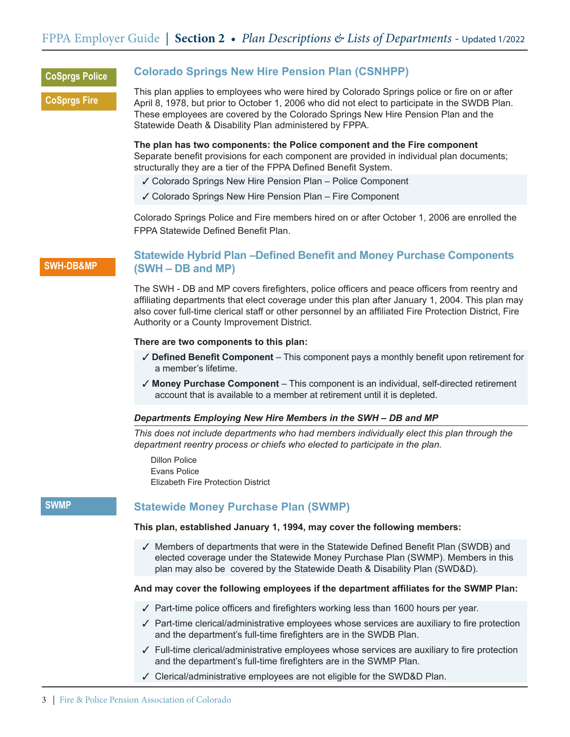## **CoSprgs Police**

**CoSprgs Fire**

## **Colorado Springs New Hire Pension Plan (CSNHPP)**

This plan applies to employees who were hired by Colorado Springs police or fire on or after April 8, 1978, but prior to October 1, 2006 who did not elect to participate in the SWDB Plan. These employees are covered by the Colorado Springs New Hire Pension Plan and the Statewide Death & Disability Plan administered by FPPA.

**The plan has two components: the Police component and the Fire component**  Separate benefit provisions for each component are provided in individual plan documents; structurally they are a tier of the FPPA Defined Benefit System.

- $\checkmark$  Colorado Springs New Hire Pension Plan Police Component
- $\checkmark$  Colorado Springs New Hire Pension Plan Fire Component

Colorado Springs Police and Fire members hired on or after October 1, 2006 are enrolled the FPPA Statewide Defined Benefit Plan.

## **SWH-DB&MP**

## **Statewide Hybrid Plan –Defined Benefit and Money Purchase Components (SWH – DB and MP)**

The SWH - DB and MP covers firefighters, police officers and peace officers from reentry and affiliating departments that elect coverage under this plan after January 1, 2004. This plan may also cover full-time clerical staff or other personnel by an affiliated Fire Protection District, Fire Authority or a County Improvement District.

### **There are two components to this plan:**

- 3 **Defined Benefit Component** This component pays a monthly benefit upon retirement for a member's lifetime.
- 3 **Money Purchase Component**  This component is an individual, self-directed retirement account that is available to a member at retirement until it is depleted.

### *Departments Employing New Hire Members in the SWH – DB and MP*

*This does not include departments who had members individually elect this plan through the department reentry process or chiefs who elected to participate in the plan.*

Dillon Police Evans Police Elizabeth Fire Protection District

### **SWMP**

## **Statewide Money Purchase Plan (SWMP)**

### **This plan, established January 1, 1994, may cover the following members:**

 $\checkmark$  Members of departments that were in the Statewide Defined Benefit Plan (SWDB) and elected coverage under the Statewide Money Purchase Plan (SWMP). Members in this plan may also be covered by the Statewide Death & Disability Plan (SWD&D).

## **And may cover the following employees if the department affiliates for the SWMP Plan:**

- $\sqrt{ }$  Part-time police officers and firefighters working less than 1600 hours per year.
- $\sqrt{2}$  Part-time clerical/administrative employees whose services are auxiliary to fire protection and the department's full-time firefighters are in the SWDB Plan.
- $\checkmark$  Full-time clerical/administrative employees whose services are auxiliary to fire protection and the department's full-time firefighters are in the SWMP Plan.
- $\checkmark$  Clerical/administrative employees are not eligible for the SWD&D Plan.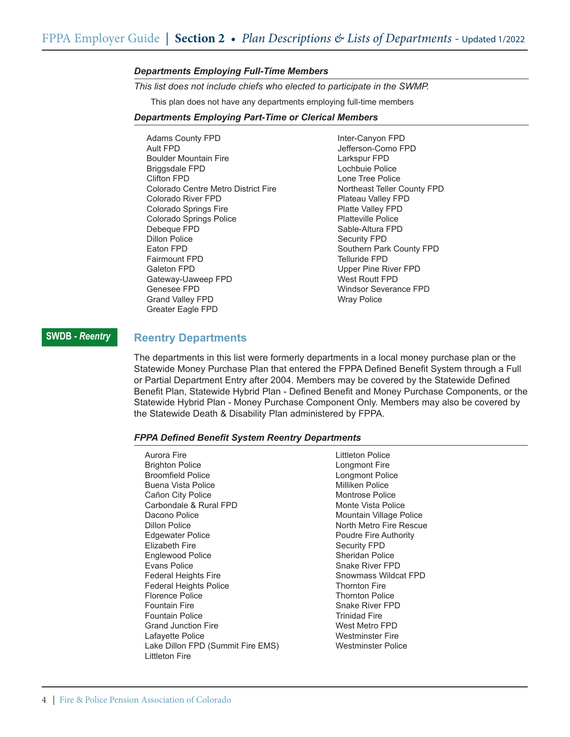#### *Departments Employing Full-Time Members*

*This list does not include chiefs who elected to participate in the SWMP.*

This plan does not have any departments employing full-time members

#### *Departments Employing Part-Time or Clerical Members*

Adams County FPD Ault FPD Boulder Mountain Fire Briggsdale FPD Clifton FPD Colorado Centre Metro District Fire Colorado River FPD Colorado Springs Fire Colorado Springs Police Debeque FPD Dillon Police Eaton FPD Fairmount FPD Galeton FPD Gateway-Uaweep FPD Genesee FPD Grand Valley FPD Greater Eagle FPD

Inter-Canyon FPD Jefferson-Como FPD Larkspur FPD Lochbuie Police Lone Tree Police Northeast Teller County FPD Plateau Valley FPD Platte Valley FPD Platteville Police Sable-Altura FPD Security FPD Southern Park County FPD Telluride FPD Upper Pine River FPD West Routt FPD Windsor Severance FPD Wray Police

### **SWDB** *- Reentry*

### **Reentry Departments**

The departments in this list were formerly departments in a local money purchase plan or the Statewide Money Purchase Plan that entered the FPPA Defined Benefit System through a Full or Partial Department Entry after 2004. Members may be covered by the Statewide Defined Benefit Plan, Statewide Hybrid Plan - Defined Benefit and Money Purchase Components, or the Statewide Hybrid Plan - Money Purchase Component Only. Members may also be covered by the Statewide Death & Disability Plan administered by FPPA.

#### *FPPA Defined Benefit System Reentry Departments*

| Aurora Fire<br><b>Brighton Police</b><br><b>Broomfield Police</b><br>Buena Vista Police<br>Cañon City Police<br>Carbondale & Rural FPD<br>Dacono Police<br>Dillon Police<br><b>Edgewater Police</b><br>Flizabeth Fire<br>Englewood Police<br>Evans Police<br><b>Federal Heights Fire</b><br><b>Federal Heights Police</b><br>Florence Police<br><b>Fountain Fire</b><br><b>Fountain Police</b><br><b>Grand Junction Fire</b><br>Lafayette Police<br>Lake Dillon FPD (Summit Fire EMS)<br>Littleton Fire | Littleton Police<br>Longmont Fire<br>Longmont Police<br>Milliken Police<br>Montrose Police<br>Monte Vista Police<br>Mountain Village Police<br>North Metro Fire Rescue<br>Poudre Fire Authority<br><b>Security FPD</b><br>Sheridan Police<br>Snake River FPD<br>Snowmass Wildcat FPD<br><b>Thornton Fire</b><br><b>Thornton Police</b><br>Snake River FPD<br>Trinidad Fire<br>West Metro FPD<br><b>Westminster Fire</b><br>Westminster Police |
|---------------------------------------------------------------------------------------------------------------------------------------------------------------------------------------------------------------------------------------------------------------------------------------------------------------------------------------------------------------------------------------------------------------------------------------------------------------------------------------------------------|-----------------------------------------------------------------------------------------------------------------------------------------------------------------------------------------------------------------------------------------------------------------------------------------------------------------------------------------------------------------------------------------------------------------------------------------------|
|---------------------------------------------------------------------------------------------------------------------------------------------------------------------------------------------------------------------------------------------------------------------------------------------------------------------------------------------------------------------------------------------------------------------------------------------------------------------------------------------------------|-----------------------------------------------------------------------------------------------------------------------------------------------------------------------------------------------------------------------------------------------------------------------------------------------------------------------------------------------------------------------------------------------------------------------------------------------|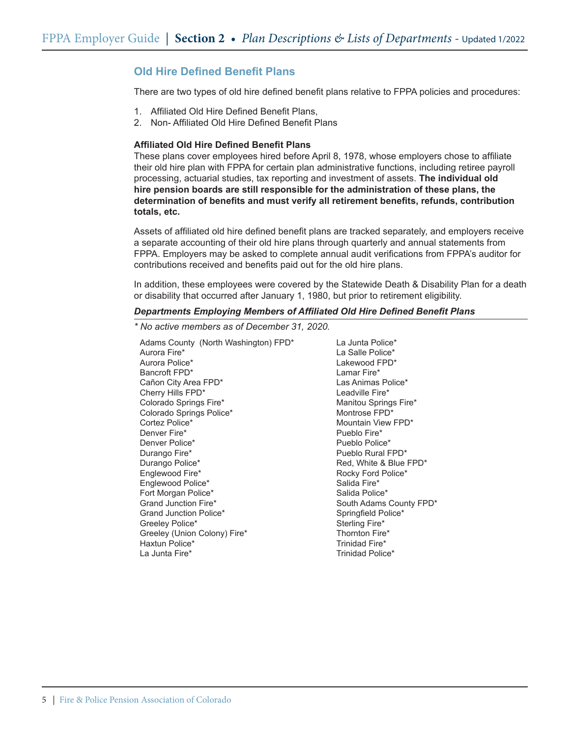## **Old Hire Defined Benefit Plans**

There are two types of old hire defined benefit plans relative to FPPA policies and procedures:

- 1. Affiliated Old Hire Defined Benefit Plans,
- 2. Non- Affiliated Old Hire Defined Benefit Plans

### **Affiliated Old Hire Defined Benefit Plans**

These plans cover employees hired before April 8, 1978, whose employers chose to affiliate their old hire plan with FPPA for certain plan administrative functions, including retiree payroll processing, actuarial studies, tax reporting and investment of assets. **The individual old hire pension boards are still responsible for the administration of these plans, the determination of benefits and must verify all retirement benefits, refunds, contribution totals, etc.**

Assets of affiliated old hire defined benefit plans are tracked separately, and employers receive a separate accounting of their old hire plans through quarterly and annual statements from FPPA. Employers may be asked to complete annual audit verifications from FPPA's auditor for contributions received and benefits paid out for the old hire plans.

In addition, these employees were covered by the Statewide Death & Disability Plan for a death or disability that occurred after January 1, 1980, but prior to retirement eligibility.

### *Departments Employing Members of Affiliated Old Hire Defined Benefit Plans*

*\* No active members as of December 31, 2020.*

Adams County (North Washington) FPD\* Aurora Fire\* Aurora Police\* Bancroft FPD\* Cañon City Area FPD\* Cherry Hills FPD\* Colorado Springs Fire\* Colorado Springs Police\* Cortez Police\* Denver Fire\* Denver Police\* Durango Fire\* Durango Police\* Englewood Fire\* Englewood Police\* Fort Morgan Police\* Grand Junction Fire\* Grand Junction Police\* Greeley Police\* Greeley (Union Colony) Fire\* Haxtun Police\* La Junta Fire\* La Junta Police\* La Salle Police\* Lakewood FPD\* Lamar Fire\* Las Animas Police\* Leadville Fire\* Manitou Springs Fire\* Montrose FPD\* Mountain View FPD\* Pueblo Fire\* Pueblo Police\* Pueblo Rural FPD\* Red, White & Blue FPD\* Rocky Ford Police\* Salida Fire\* Salida Police\* South Adams County FPD\* Springfield Police\* Sterling Fire\* Thornton Fire\* Trinidad Fire\* Trinidad Police\*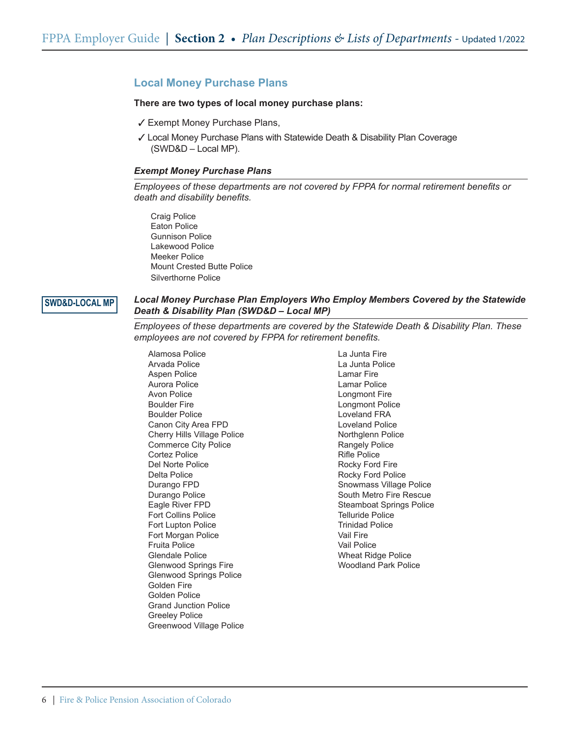## **Local Money Purchase Plans**

### **There are two types of local money purchase plans:**

- √ Exempt Money Purchase Plans,
- 3 Local Money Purchase Plans with Statewide Death & Disability Plan Coverage (SWD&D – Local MP).

#### *Exempt Money Purchase Plans*

*Employees of these departments are not covered by FPPA for normal retirement benefits or death and disability benefits.*

Craig Police Eaton Police Gunnison Police Lakewood Police Meeker Police Mount Crested Butte Police Silverthorne Police

## **SWD&D-LOCAL MP**

### *Local Money Purchase Plan Employers Who Employ Members Covered by the Statewide Death & Disability Plan (SWD&D – Local MP)*

*Employees of these departments are covered by the Statewide Death & Disability Plan. These employees are not covered by FPPA for retirement benefits.*

Alamosa Police Arvada Police Aspen Police Aurora Police Avon Police Boulder Fire Boulder Police Canon City Area FPD Cherry Hills Village Police Commerce City Police Cortez Police Del Norte Police Delta Police Durango FPD Durango Police Eagle River FPD Fort Collins Police Fort Lupton Police Fort Morgan Police Fruita Police Glendale Police Glenwood Springs Fire Glenwood Springs Police Golden Fire Golden Police Grand Junction Police Greeley Police Greenwood Village Police La Junta Fire La Junta Police Lamar Fire Lamar Police Longmont Fire Longmont Police Loveland FRA Loveland Police Northglenn Police Rangely Police Rifle Police Rocky Ford Fire Rocky Ford Police Snowmass Village Police South Metro Fire Rescue Steamboat Springs Police Telluride Police Trinidad Police Vail Fire Vail Police Wheat Ridge Police Woodland Park Police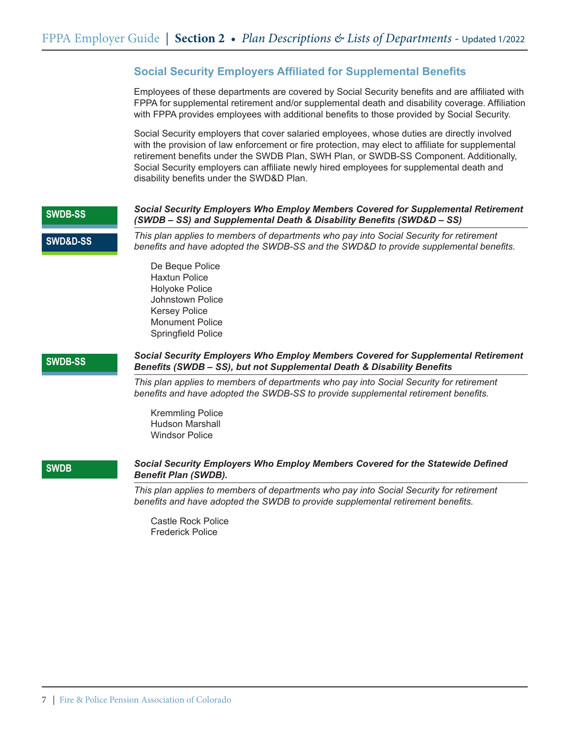## **Social Security Employers Affiliated for Supplemental Benefits**

Employees of these departments are covered by Social Security benefits and are affiliated with FPPA for supplemental retirement and/or supplemental death and disability coverage. Affiliation with FPPA provides employees with additional benefits to those provided by Social Security.

Social Security employers that cover salaried employees, whose duties are directly involved with the provision of law enforcement or fire protection, may elect to affiliate for supplemental retirement benefits under the SWDB Plan, SWH Plan, or SWDB-SS Component. Additionally, Social Security employers can affiliate newly hired employees for supplemental death and disability benefits under the SWD&D Plan.

## *Social Security Employers Who Employ Members Covered for Supplemental Retirement (SWDB – SS) and Supplemental Death & Disability Benefits (SWD&D – SS) This plan applies to members of departments who pay into Social Security for retirement benefits and have adopted the SWDB-SS and the SWD&D to provide supplemental benefits.* De Beque Police Haxtun Police Holyoke Police Johnstown Police Kersey Police Monument Police Springfield Police *Social Security Employers Who Employ Members Covered for Supplemental Retirement Benefits (SWDB – SS), but not Supplemental Death & Disability Benefits This plan applies to members of departments who pay into Social Security for retirement benefits and have adopted the SWDB-SS to provide supplemental retirement benefits.* Kremmling Police Hudson Marshall Windsor Police **SWDB-SS SWDB-SS SWD&D-SS** *Social Security Employers Who Employ Members Covered for the Statewide Defined Benefit Plan (SWDB). This plan applies to members of departments who pay into Social Security for retirement benefits and have adopted the SWDB to provide supplemental retirement benefits.* **SWDB**

Castle Rock Police Frederick Police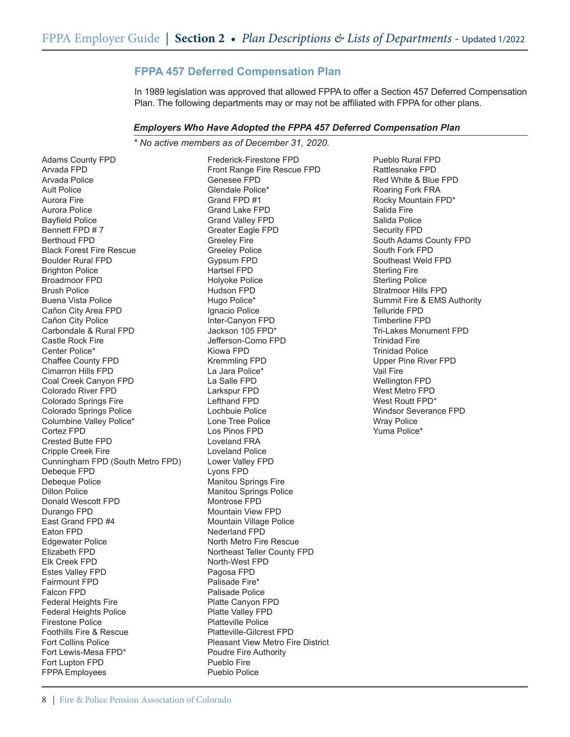# **FPPA 457 Deferred Compensation Plan**

In 1989 legislation was approved that allowed FPPA to offer a Section 457 Deferred Compensation Plan. The following departments may or may not be affiliated with FPPA for other plans.

### *Employers Who Have Adopted the FPPA 457 Deferred Compensation Plan*

*\* No active members as of December 31, 2020.*

Adams County FPD Arvada FPD Arvada Police Ault Police Aurora Fire Aurora Police Bayfield Police Bennett FPD # 7 Berthoud FPD Black Forest Fire Rescue Boulder Rural FPD **Brighton Police** Broadmoor FPD Brush Police Buena Vista Police Cañon City Area FPD Cañon City Police Carbondale & Rural FPD Castle Rock Fire Center Police\* Chaffee County FPD Cimarron Hills FPD Coal Creek Canyon FPD Colorado River FPD Colorado Springs Fire Colorado Springs Police Columbine Valley Police\* Cortez FPD Crested Butte FPD Cripple Creek Fire Cunningham FPD (South Metro FPD) Debeque FPD Debeque Police Dillon Police Donald Wescott FPD Durango FPD East Grand FPD #4 Eaton FPD Edgewater Police Elizabeth FPD Elk Creek FPD Estes Valley FPD Fairmount FPD Falcon FPD **Federal Heights Fire** Federal Heights Police Firestone Police Foothills Fire & Rescue Fort Collins Police Fort Lewis-Mesa FPD\* Fort Lupton FPD FPPA Employees

Frederick-Firestone FPD Front Range Fire Rescue FPD Genesee FPD Glendale Police\* Grand FPD #1 Grand Lake FPD Grand Valley FPD Greater Eagle FPD Greeley Fire Greeley Police Gypsum FPD Hartsel FPD Holyoke Police Hudson FPD Hugo Police\* Ignacio Police Inter-Canyon FPD Jackson 105 FPD\* Jefferson-Como FPD Kiowa FPD Kremmling FPD La Jara Police\* La Salle FPD Larkspur FPD Lefthand FPD Lochbuie Police Lone Tree Police Los Pinos FPD Loveland FRA Loveland Police Lower Valley FPD Lyons FPD Manitou Springs Fire Manitou Springs Police Montrose FPD Mountain View FPD Mountain Village Police Nederland FPD North Metro Fire Rescue Northeast Teller County FPD North-West FPD Pagosa FPD Palisade Fire\* Palisade Police Platte Canyon FPD Platte Valley FPD Platteville Police Platteville-Gilcrest FPD Pleasant View Metro Fire District Poudre Fire Authority Pueblo Fire Pueblo Police

Pueblo Rural FPD Rattlesnake FPD Red White & Blue FPD Roaring Fork FRA Rocky Mountain FPD\* Salida Fire Salida Police Security FPD South Adams County FPD South Fork FPD Southeast Weld FPD Sterling Fire Sterling Police Stratmoor Hills FPD Summit Fire & EMS Authority Telluride FPD Timberline FPD Tri-Lakes Monument FPD Trinidad Fire Trinidad Police Upper Pine River FPD Vail Fire Wellington FPD West Metro FPD West Routt FPD\* Windsor Severance FPD Wray Police Yuma Police\*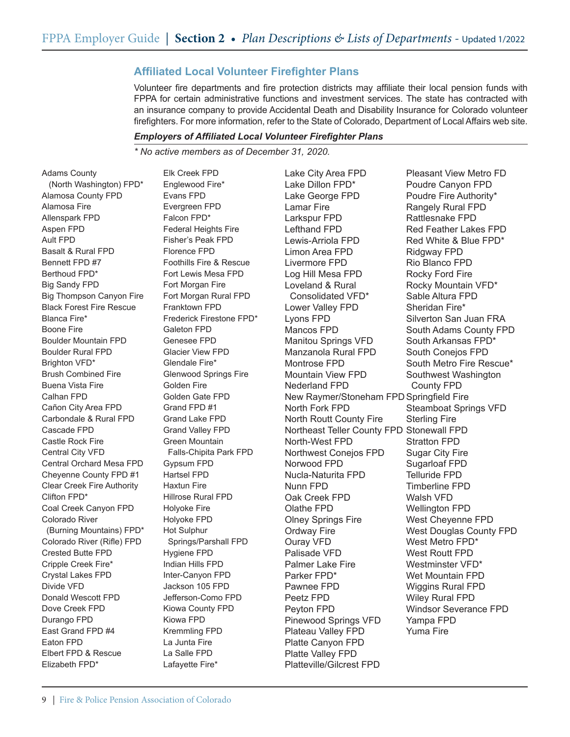# **Affiliated Local Volunteer Firefighter Plans**

Volunteer fire departments and fire protection districts may affiliate their local pension funds with FPPA for certain administrative functions and investment services. The state has contracted with an insurance company to provide Accidental Death and Disability Insurance for Colorado volunteer firefighters. For more information, refer to the State of Colorado, Department of Local Affairs web site.

### *Employers of Affiliated Local Volunteer Firefighter Plans*

*\* No active members as of December 31, 2020.*

Adams County (North Washington) FPD\* Alamosa County FPD Alamosa Fire Allenspark FPD Aspen FPD Ault FPD Basalt & Rural FPD Bennett FPD #7 Berthoud FPD\* Big Sandy FPD Big Thompson Canyon Fire Black Forest Fire Rescue Blanca Fire\* Boone Fire Boulder Mountain FPD Boulder Rural FPD Brighton VFD\* Brush Combined Fire Buena Vista Fire Calhan FPD Cañon City Area FPD Carbondale & Rural FPD Cascade FPD Castle Rock Fire Central City VFD Central Orchard Mesa FPD Cheyenne County FPD #1 Clear Creek Fire Authority Clifton FPD\* Coal Creek Canyon FPD Colorado River (Burning Mountains) FPD\* Colorado River (Rifle) FPD Crested Butte FPD Cripple Creek Fire\* Crystal Lakes FPD Divide VFD Donald Wescott FPD Dove Creek FPD Durango FPD East Grand FPD #4 Eaton FPD Elbert FPD & Rescue Elizabeth FPD\*

Elk Creek FPD Englewood Fire\* Evans FPD Evergreen FPD Falcon FPD\* Federal Heights Fire Fisher's Peak FPD Florence FPD Foothills Fire & Rescue Fort Lewis Mesa FPD Fort Morgan Fire Fort Morgan Rural FPD Franktown FPD Frederick Firestone FPD\* Galeton FPD Genesee FPD Glacier View FPD Glendale Fire\* Glenwood Springs Fire Golden Fire Golden Gate FPD Grand FPD #1 Grand Lake FPD Grand Valley FPD Green Mountain Falls-Chipita Park FPD Gypsum FPD Hartsel FPD Haxtun Fire Hillrose Rural FPD Holyoke Fire Holyoke FPD Hot Sulphur Springs/Parshall FPD Hygiene FPD Indian Hills FPD Inter-Canyon FPD Jackson 105 FPD Jefferson-Como FPD Kiowa County FPD Kiowa FPD Kremmling FPD La Junta Fire La Salle FPD Lafayette Fire\*

Lake City Area FPD Lake Dillon FPD\* Lake George FPD Lamar Fire Larkspur FPD Lefthand FPD Lewis-Arriola FPD Limon Area FPD Livermore FPD Log Hill Mesa FPD Loveland & Rural Consolidated VFD\* Lower Valley FPD Lyons FPD Mancos FPD Manitou Springs VFD Manzanola Rural FPD Montrose FPD Mountain View FPD Nederland FPD New Raymer/Stoneham FPD Springfield Fire North Fork FPD North Routt County Fire Northeast Teller County FPD Stonewall FPD North-West FPD Northwest Conejos FPD Norwood FPD Nucla-Naturita FPD Nunn FPD Oak Creek FPD Olathe FPD Olney Springs Fire Ordway Fire Ouray VFD Palisade VFD Palmer Lake Fire Parker FPD\* Pawnee FPD Peetz FPD Peyton FPD Pinewood Springs VFD Plateau Valley FPD Platte Canyon FPD Platte Valley FPD Platteville/Gilcrest FPD

Pleasant View Metro FD Poudre Canyon FPD Poudre Fire Authority\* Rangely Rural FPD Rattlesnake FPD Red Feather Lakes FPD Red White & Blue FPD\* Ridgway FPD Rio Blanco FPD Rocky Ford Fire Rocky Mountain VFD\* Sable Altura FPD Sheridan Fire\* Silverton San Juan FRA South Adams County FPD South Arkansas FPD\* South Conejos FPD South Metro Fire Rescue\* Southwest Washington County FPD Steamboat Springs VFD Sterling Fire Stratton FPD Sugar City Fire Sugarloaf FPD Telluride FPD Timberline FPD Walsh VFD Wellington FPD West Cheyenne FPD West Douglas County FPD West Metro FPD\* West Routt FPD Westminster VFD\* Wet Mountain FPD Wiggins Rural FPD Wiley Rural FPD Windsor Severance FPD Yampa FPD Yuma Fire